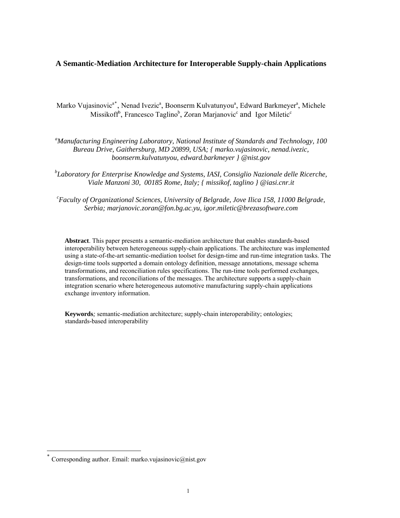## **A Semantic-Mediation Architecture for Interoperable Supply-chain Applications**

Marko Vujasinovic<sup>a[\\*](#page-0-0)</sup>, Nenad Ivezic<sup>a</sup>, Boonserm Kulvatunyou<sup>a</sup>, Edward Barkmeyer<sup>a</sup>, Michele Missikoff<sup>b</sup>, Francesco Taglino<sup>b</sup>, Zoran Marjanovic<sup>c</sup> and Igor Miletic<sup>c</sup>

*a Manufacturing Engineering Laboratory, National Institute of Standards and Technology, 100 Bureau Drive, Gaithersburg, MD 20899, USA; { marko.vujasinovic, nenad.ivezic, boonserm.kulvatunyou, edward.barkmeyer } @nist.gov* 

*b Laboratory for Enterprise Knowledge and Systems, IASI, Consiglio Nazionale delle Ricerche, Viale Manzoni 30, 00185 Rome, Italy; { missikof, taglino } @iasi.cnr.it* 

*c Faculty of Organizational Sciences, University of Belgrade, Jove Ilica 158, 11000 Belgrade, Serbia; marjanovic.zoran@fon.bg.ac.yu, igor.miletic@brezasoftware.com* 

**Abstract**. This paper presents a semantic-mediation architecture that enables standards-based interoperability between heterogeneous supply-chain applications. The architecture was implemented using a state-of-the-art semantic-mediation toolset for design-time and run-time integration tasks. The design-time tools supported a domain ontology definition, message annotations, message schema transformations, and reconciliation rules specifications. The run-time tools performed exchanges, transformations, and reconciliations of the messages. The architecture supports a supply-chain integration scenario where heterogeneous automotive manufacturing supply-chain applications exchange inventory information.

**Keywords***;* semantic-mediation architecture; supply-chain interoperability; ontologies; standards-based interoperability

<span id="page-0-0"></span> $\overline{a}$ 

Corresponding author. Email: marko.vujasinovic $@n$ ist.gov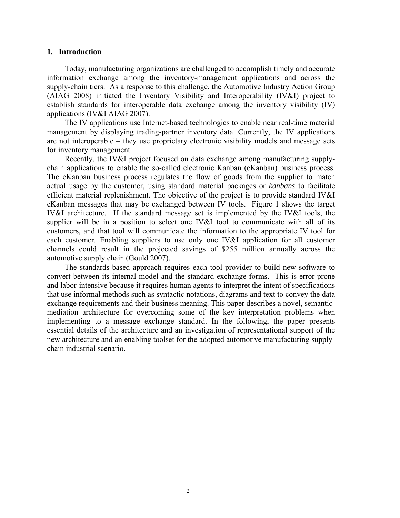#### **1. Introduction**

Today, manufacturing organizations are challenged to accomplish timely and accurate information exchange among the inventory-management applications and across the supply-chain tiers. As a response to this challenge, the Automotive Industry Action Group (AIAG 2008) initiated the Inventory Visibility and Interoperability (IV&I) project to establish standards for interoperable data exchange among the inventory visibility (IV) applications (IV&I AIAG 2007).

The IV applications use Internet-based technologies to enable near real-time material management by displaying trading-partner inventory data. Currently, the IV applications are not interoperable – they use proprietary electronic visibility models and message sets for inventory management.

Recently, the IV&I project focused on data exchange among manufacturing supplychain applications to enable the so-called electronic Kanban (eKanban) business process. The eKanban business process regulates the flow of goods from the supplier to match actual usage by the customer, using standard material packages or *kanbans* to facilitate efficient material replenishment. The objective of the project is to provide standard IV&I eKanban messages that may be exchanged between IV tools. Figure 1 shows the target IV&I architecture. If the standard message set is implemented by the IV&I tools, the supplier will be in a position to select one IV&I tool to communicate with all of its customers, and that tool will communicate the information to the appropriate IV tool for each customer. Enabling suppliers to use only one IV&I application for all customer channels could result in the projected savings of \$255 million annually across the automotive supply chain (Gould 2007).

The standards-based approach requires each tool provider to build new software to convert between its internal model and the standard exchange forms. This is error-prone and labor-intensive because it requires human agents to interpret the intent of specifications that use informal methods such as syntactic notations, diagrams and text to convey the data exchange requirements and their business meaning. This paper describes a novel, semanticmediation architecture for overcoming some of the key interpretation problems when implementing to a message exchange standard. In the following, the paper presents essential details of the architecture and an investigation of representational support of the new architecture and an enabling toolset for the adopted automotive manufacturing supplychain industrial scenario.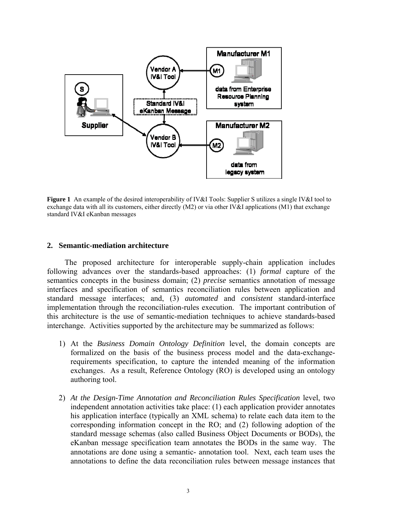

**Figure 1** An example of the desired interoperability of IV&I Tools: Supplier S utilizes a single IV&I tool to exchange data with all its customers, either directly (M2) or via other IV&I applications (M1) that exchange standard IV&I eKanban messages

#### **2. Semantic-mediation architecture**

The proposed architecture for interoperable supply-chain application includes following advances over the standards-based approaches: (1) *formal* capture of the semantics concepts in the business domain; (2) *precise* semantics annotation of message interfaces and specification of semantics reconciliation rules between application and standard message interfaces; and, (3) *automated* and *consistent* standard-interface implementation through the reconciliation-rules execution. The important contribution of this architecture is the use of semantic-mediation techniques to achieve standards-based interchange. Activities supported by the architecture may be summarized as follows:

- 1) At the *Business Domain Ontology Definition* level, the domain concepts are formalized on the basis of the business process model and the data-exchangerequirements specification, to capture the intended meaning of the information exchanges. As a result, Reference Ontology (RO) is developed using an ontology authoring tool.
- 2) *At the Design-Time Annotation and Reconciliation Rules Specification* level, two independent annotation activities take place: (1) each application provider annotates his application interface (typically an XML schema) to relate each data item to the corresponding information concept in the RO; and (2) following adoption of the standard message schemas (also called Business Object Documents or BODs), the eKanban message specification team annotates the BODs in the same way. The annotations are done using a semantic- annotation tool. Next, each team uses the annotations to define the data reconciliation rules between message instances that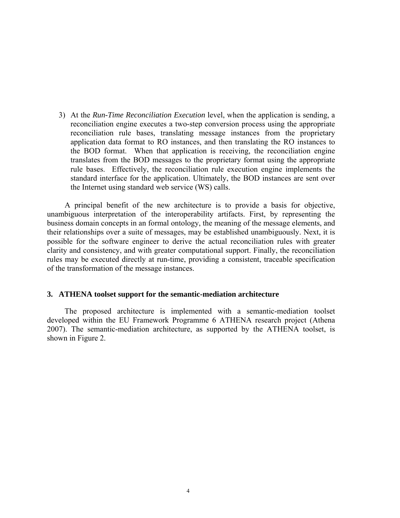3) At the *Run-Time Reconciliation Execution* level, when the application is sending, a reconciliation engine executes a two-step conversion process using the appropriate reconciliation rule bases, translating message instances from the proprietary application data format to RO instances, and then translating the RO instances to the BOD format. When that application is receiving, the reconciliation engine translates from the BOD messages to the proprietary format using the appropriate rule bases. Effectively, the reconciliation rule execution engine implements the standard interface for the application. Ultimately, the BOD instances are sent over the Internet using standard web service (WS) calls.

A principal benefit of the new architecture is to provide a basis for objective, unambiguous interpretation of the interoperability artifacts. First, by representing the business domain concepts in an formal ontology, the meaning of the message elements, and their relationships over a suite of messages, may be established unambiguously. Next, it is possible for the software engineer to derive the actual reconciliation rules with greater clarity and consistency, and with greater computational support. Finally, the reconciliation rules may be executed directly at run-time, providing a consistent, traceable specification of the transformation of the message instances.

## **3. ATHENA toolset support for the semantic-mediation architecture**

The proposed architecture is implemented with a semantic-mediation toolset developed within the EU Framework Programme 6 ATHENA research project (Athena 2007). The semantic-mediation architecture, as supported by the ATHENA toolset, is shown in Figure 2.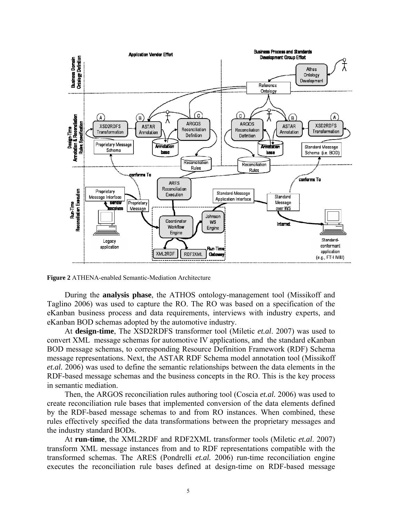

**Figure 2** ATHENA-enabled Semantic-Mediation Architecture

During the **analysis phase**, the ATHOS ontology-management tool (Missikoff and Taglino 2006) was used to capture the RO. The RO was based on a specification of the eKanban business process and data requirements, interviews with industry experts, and eKanban BOD schemas adopted by the automotive industry.

At **design-time**, The XSD2RDFS transformer tool (Miletic *et.al*. 2007) was used to convert XML message schemas for automotive IV applications, and the standard eKanban BOD message schemas, to corresponding Resource Definition Framework (RDF) Schema message representations. Next, the ASTAR RDF Schema model annotation tool (Missikoff *et.al.* 2006) was used to define the semantic relationships between the data elements in the RDF-based message schemas and the business concepts in the RO. This is the key process in semantic mediation.

Then, the ARGOS reconciliation rules authoring tool (Coscia *et.al.* 2006) was used to create reconciliation rule bases that implemented conversion of the data elements defined by the RDF-based message schemas to and from RO instances. When combined, these rules effectively specified the data transformations between the proprietary messages and the industry standard BODs.

At **run-time**, the XML2RDF and RDF2XML transformer tools (Miletic *et.al*. 2007) transform XML message instances from and to RDF representations compatible with the transformed schemas. The ARES (Pondrelli *et.al.* 2006) run-time reconciliation engine executes the reconciliation rule bases defined at design-time on RDF-based message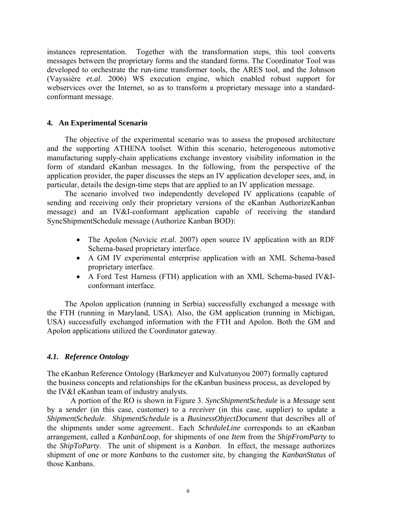instances representation. Together with the transformation steps, this tool converts messages between the proprietary forms and the standard forms. The Coordinator Tool was developed to orchestrate the run-time transformer tools, the ARES tool, and the Johnson (Vayssière *et.al.* 2006) WS execution engine, which enabled robust support for webservices over the Internet, so as to transform a proprietary message into a standardconformant message.

## **4. An Experimental Scenario**

The objective of the experimental scenario was to assess the proposed architecture and the supporting ATHENA toolset. Within this scenario, heterogeneous automotive manufacturing supply-chain applications exchange inventory visibility information in the form of standard eKanban messages. In the following, from the perspective of the application provider, the paper discusses the steps an IV application developer sees, and, in particular, details the design-time steps that are applied to an IV application message.

The scenario involved two independently developed IV applications (capable of sending and receiving only their proprietary versions of the eKanban AuthorizeKanban message) and an IV&I-conformant application capable of receiving the standard SyncShipmentSchedule message (Authorize Kanban BOD):

- The Apolon (Novicic *et.al.* 2007) open source IV application with an RDF Schema-based proprietary interface.
- A GM IV experimental enterprise application with an XML Schema-based proprietary interface.
- A Ford Test Harness (FTH) application with an XML Schema-based IV&Iconformant interface.

The Apolon application (running in Serbia) successfully exchanged a message with the FTH (running in Maryland, USA). Also, the GM application (running in Michigan, USA) successfully exchanged information with the FTH and Apolon. Both the GM and Apolon applications utilized the Coordinator gateway.

#### *4.1. Reference Ontology*

The eKanban Reference Ontology (Barkmeyer and Kulvatunyou 2007) formally captured the business concepts and relationships for the eKanban business process, as developed by the IV&I eKanban team of industry analysts.

 A portion of the RO is shown in Figure 3. *SyncShipmentSchedule* is a *Message* sent by a *sender* (in this case, customer) to a *receiver* (in this case, supplier) to update a *ShipmentSchedule*. *ShipmentSchedule* is a *BusinessObjectDocument* that describes all of the shipments under some agreement.. Each *ScheduleLine* corresponds to an eKanban arrangement, called a *KanbanLoop*, for shipments of one *Item* from the *ShipFromParty* to the *ShipToParty*. The unit of shipment is a *Kanban*. In effect, the message authorizes shipment of one or more *Kanban*s to the customer site, by changing the *KanbanStatus* of those Kanbans.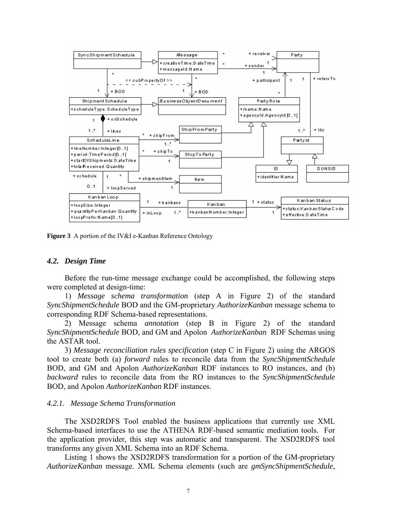

**Figure 3** A portion of the IV&I e-Kanban Reference Ontology

#### *4.2. Design Time*

Before the run-time message exchange could be accomplished, the following steps were completed at design-time:

1) *Message schema transformation* (step A in Figure 2) of the standard *SyncShipmentSchedule* BOD and the GM-proprietary *AuthorizeKanban* message schema to corresponding RDF Schema-based representations.

2) Message schema *annotation* (step B in Figure 2) of the standard *SyncShipmentSchedule* BOD, and GM and Apolon *AuthorizeKanban* RDF Schemas using the ASTAR tool.

3) *Message reconciliation rules specification* (step C in Figure 2) using the ARGOS tool to create both (a) *forward* rules to reconcile data from the *SyncShipmentSchedule* BOD, and GM and Apolon *AuthorizeKanban* RDF instances to RO instances, and (b) *backward* rules to reconcile data from the RO instances to the *SyncShipmentSchedule*  BOD, and Apolon *AuthorizeKanban* RDF instances.

#### *4.2.1. Message Schema Transformation*

The XSD2RDFS Tool enabled the business applications that currently use XML Schema-based interfaces to use the ATHENA RDF-based semantic mediation tools. For the application provider, this step was automatic and transparent. The XSD2RDFS tool transforms any given XML Schema into an RDF Schema.

Listing 1 shows the XSD2RDFS transformation for a portion of the GM-proprietary *AuthorizeKanban* message. XML Schema elements (such are *gmSyncShipmentSchedule*,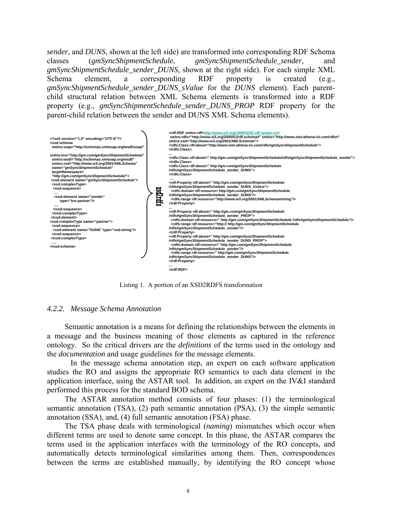*sender*, and *DUNS,* shown at the left side) are transformed into corresponding RDF Schema classes (*gmSyncShipmentSchedule*, *gmSyncShipmentSchedule\_sender*, and *gmSyncShipmentSchedule\_sender\_DUNS,* shown at the right side). For each simple XML Schema element, a corresponding RDF property is created (e.g., *gmSyncShipmentSchedule\_sender\_DUNS\_sValue* for the *DUNS* element). Each parentchild structural relation between XML Schema elements is transformed into a RDF property (e.g., *gmSyncShipmentSchedule\_sender\_DUNS\_PROP* RDF property for the parent-child relation between the sender and DUNS XML Schema elements).

| xml version="1.0" encoding="UTF-8"?<br><xsd:schema<br>xmlns:soap="http://schemas.xmlsoap.org/wsdl/soap/"<br/>xmlns:tns="http://gm.com/gmSyncShipmentSchedule/"<br/>xmlns:wsdl="http://schemas.xmlsoap.org/wsdl/"<br/>xmlns:xsd="http://www.w3.org/2001/XMLSchema"<br/>name="gmSyncShipmentSchedule"<br/>targetNamespace=<br/>"http://gm.com/gmSyncShipmentSchedule/"&gt;<br/><xsd:element name="gmSyncShipmentSchedule"><br/><xsd:complextype><br/><xsd:sequence><br/><xsd:element <br="" name="sender">type="tns:partner"/&gt;<br/><math>\ddotsc</math><br/></xsd:element></xsd:sequence><br/></xsd:complextype><br/></xsd:element><br/><xsd:complextype name="partner"><br/><xsd:sequence><br/><xsd:element name="DUNS" type="xsd:string"></xsd:element><br/></xsd:sequence><br/></xsd:complextype><br/></xsd:schema<br> | <b>zsd2rdfs</b> | <rdf:rdf xmlns:rdf="http://www.w3.org/1999/02/22-rdf-syntax-ns#&lt;br">xmlns:rdfs="http://www.w3.org/2000/01/rdf-schema#" xmlns="http://www.nist-athena-ivi.com/rdfs#"<br/>xmlns:xsd="http://www.w3.org/2001/XMLSchema#"&gt;<br/><rdfs:class rdf:about="http://www.nist-athena-ivi.com/rdfs#gmSyncShipmentSchedule"><br/></rdfs:class><br/><rdfs:class rdf:about=" http://gm.com/gmSyncShipmentSchedule/rdfs#gmSyncShipmentSchedule sender"><br/></rdfs:class><br/><rdfs:class rdf:about=" http://gm.com/gmSyncShipmentSchedule&lt;br&gt;/rdfs#gmSyncShipmentSchedule sender DUNS"><br/></rdfs:class><br/><rdf:property rdf:about=" http://gm.com/gmSyncShipmentSchedule&lt;br&gt;/rdfs#gmSyncShipmentSchedule sender DUNS sValue"><br/><rdfs:domain rdf:resource="http://gm.com/gmSyncShipmentSchedule&lt;br">/rdfs#gmSyncShipmentSchedule sender DUNS"/&gt;<br/><rdfs:range rdf:resource="http://www.w3.org/2001/XMLSchema#string"></rdfs:range><br/></rdfs:domain></rdf:property><br/><rdf:property rdf:about=" http://gm.com/gmSyncShipmentSchedule&lt;br&gt;/rdfs#gmSyncShipmentSchedule sender PROP"><br/><rdfs:domain rdf:resource=" http://gm.com/gmSyncShipmentSchedule /rdfs#gmSyncShipmentSchedule"></rdfs:domain><br/><rdfs:range rdf:resource="http:// http://gm.com/gmSyncShipmentSchedule&lt;br&gt;/rdfs#gmSyncShipmentSchedule sender"></rdfs:range><br/></rdf:property><br/><rdf:property rdf:about=" http://gm.com/gmSyncShipmentSchedule&lt;br&gt;/rdfs#gmSyncShipmentSchedule sender DUNS PROP"><br/><rdfs:domain rdf:resource=" http://gm.com/gmSyncShipmentSchedule&lt;br&gt;/rdfs#gmSyncShipmentSchedule sender"></rdfs:domain><br/><rdfs:range rdf:resource=" http://gm.com/gmSyncShipmentSchedule&lt;br&gt;/rdfs#gmSyncShipmentSchedule sender DUNS"></rdfs:range><br/></rdf:property><br/></rdf:rdf> |
|----------------------------------------------------------------------------------------------------------------------------------------------------------------------------------------------------------------------------------------------------------------------------------------------------------------------------------------------------------------------------------------------------------------------------------------------------------------------------------------------------------------------------------------------------------------------------------------------------------------------------------------------------------------------------------------------------------------------------------------------------------------------------------------------------------------------------|-----------------|--------------------------------------------------------------------------------------------------------------------------------------------------------------------------------------------------------------------------------------------------------------------------------------------------------------------------------------------------------------------------------------------------------------------------------------------------------------------------------------------------------------------------------------------------------------------------------------------------------------------------------------------------------------------------------------------------------------------------------------------------------------------------------------------------------------------------------------------------------------------------------------------------------------------------------------------------------------------------------------------------------------------------------------------------------------------------------------------------------------------------------------------------------------------------------------------------------------------------------------------------------------------------------------------------------------------------------------------------------------------------------------------------------------------------------------------------------------------------------------------------------------------------------------------------------------------------------------------------------------------------------------------------------------------------------------------------------------------------------------------------------------------------------------------------------------------------------|
|----------------------------------------------------------------------------------------------------------------------------------------------------------------------------------------------------------------------------------------------------------------------------------------------------------------------------------------------------------------------------------------------------------------------------------------------------------------------------------------------------------------------------------------------------------------------------------------------------------------------------------------------------------------------------------------------------------------------------------------------------------------------------------------------------------------------------|-----------------|--------------------------------------------------------------------------------------------------------------------------------------------------------------------------------------------------------------------------------------------------------------------------------------------------------------------------------------------------------------------------------------------------------------------------------------------------------------------------------------------------------------------------------------------------------------------------------------------------------------------------------------------------------------------------------------------------------------------------------------------------------------------------------------------------------------------------------------------------------------------------------------------------------------------------------------------------------------------------------------------------------------------------------------------------------------------------------------------------------------------------------------------------------------------------------------------------------------------------------------------------------------------------------------------------------------------------------------------------------------------------------------------------------------------------------------------------------------------------------------------------------------------------------------------------------------------------------------------------------------------------------------------------------------------------------------------------------------------------------------------------------------------------------------------------------------------------------|

Listing 1. A portion of an XSD2RDFS transformation

## *4.2.2. Message Schema Annotation*

Semantic annotation is a means for defining the relationships between the elements in a message and the business meaning of those elements as captured in the reference ontology. So the critical drivers are the *definitions* of the terms used in the ontology and the *documentation* and usage guidelines for the message elements.

 In the message schema annotation step, an expert on each software application studies the RO and assigns the appropriate RO semantics to each data element in the application interface, using the ASTAR tool. In addition, an expert on the IV&I standard performed this process for the standard BOD schema.

The ASTAR annotation method consists of four phases: (1) the terminological semantic annotation (TSA), (2) path semantic annotation (PSA), (3) the simple semantic annotation (SSA), and, (4) full semantic annotation (FSA) phase.

The TSA phase deals with terminological (*naming*) mismatches which occur when different terms are used to denote same concept. In this phase, the ASTAR compares the terms used in the application interfaces with the terminology of the RO concepts, and automatically detects terminological similarities among them. Then, correspondences between the terms are established manually, by identifying the RO concept whose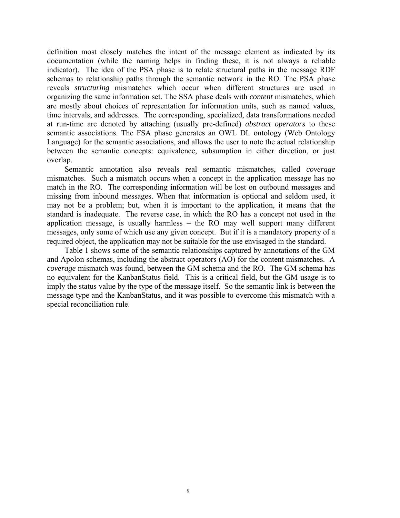definition most closely matches the intent of the message element as indicated by its documentation (while the naming helps in finding these, it is not always a reliable indicator). The idea of the PSA phase is to relate structural paths in the message RDF schemas to relationship paths through the semantic network in the RO. The PSA phase reveals *structuring* mismatches which occur when different structures are used in organizing the same information set. The SSA phase deals with *content* mismatches, which are mostly about choices of representation for information units, such as named values, time intervals, and addresses. The corresponding, specialized, data transformations needed at run-time are denoted by attaching (usually pre-defined) *abstract operators* to these semantic associations. The FSA phase generates an OWL DL ontology (Web Ontology Language) for the semantic associations, and allows the user to note the actual relationship between the semantic concepts: equivalence, subsumption in either direction, or just overlap.

Semantic annotation also reveals real semantic mismatches, called *coverage* mismatches. Such a mismatch occurs when a concept in the application message has no match in the RO. The corresponding information will be lost on outbound messages and missing from inbound messages. When that information is optional and seldom used, it may not be a problem; but, when it is important to the application, it means that the standard is inadequate. The reverse case, in which the RO has a concept not used in the application message, is usually harmless – the RO may well support many different messages, only some of which use any given concept. But if it is a mandatory property of a required object, the application may not be suitable for the use envisaged in the standard.

Table 1 shows some of the semantic relationships captured by annotations of the GM and Apolon schemas, including the abstract operators (AO) for the content mismatches. A *coverage* mismatch was found, between the GM schema and the RO. The GM schema has no equivalent for the KanbanStatus field. This is a critical field, but the GM usage is to imply the status value by the type of the message itself. So the semantic link is between the message type and the KanbanStatus, and it was possible to overcome this mismatch with a special reconciliation rule.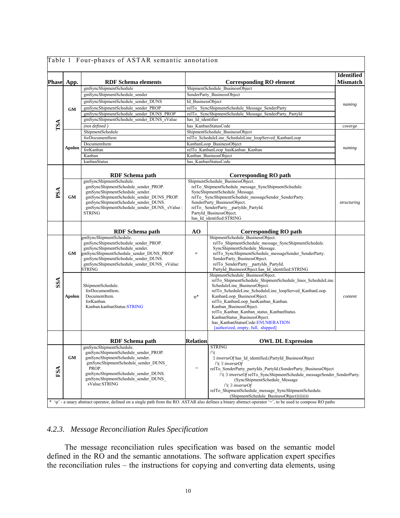| Table 1 Four-phases of ASTAR semantic annotation |                                                                                                                                                                                                                                                     |                                                                                                                                                                                                                                                    |                                                                                                                                                                                                                                                                                                                                                                                                             |                                                                                                                                                                                                                                                                                                                                                                                                                                               |         |  |
|--------------------------------------------------|-----------------------------------------------------------------------------------------------------------------------------------------------------------------------------------------------------------------------------------------------------|----------------------------------------------------------------------------------------------------------------------------------------------------------------------------------------------------------------------------------------------------|-------------------------------------------------------------------------------------------------------------------------------------------------------------------------------------------------------------------------------------------------------------------------------------------------------------------------------------------------------------------------------------------------------------|-----------------------------------------------------------------------------------------------------------------------------------------------------------------------------------------------------------------------------------------------------------------------------------------------------------------------------------------------------------------------------------------------------------------------------------------------|---------|--|
| <b>Phase</b>                                     | App.                                                                                                                                                                                                                                                | <b>RDF</b> Schema elements                                                                                                                                                                                                                         |                                                                                                                                                                                                                                                                                                                                                                                                             | <b>Identified</b><br><b>Mismatch</b>                                                                                                                                                                                                                                                                                                                                                                                                          |         |  |
|                                                  |                                                                                                                                                                                                                                                     | gmSyncShipmentSchedule                                                                                                                                                                                                                             |                                                                                                                                                                                                                                                                                                                                                                                                             | <b>Corresponding RO element</b><br>ShipmentSchedule BusinessObject                                                                                                                                                                                                                                                                                                                                                                            |         |  |
|                                                  |                                                                                                                                                                                                                                                     | gmSyncShipmentSchedule sender                                                                                                                                                                                                                      |                                                                                                                                                                                                                                                                                                                                                                                                             | SenderParty BusinessObject                                                                                                                                                                                                                                                                                                                                                                                                                    |         |  |
| TSA                                              | <b>GM</b>                                                                                                                                                                                                                                           | gmSyncShipmentSchedule sender DUNS                                                                                                                                                                                                                 | Id BusinessObject                                                                                                                                                                                                                                                                                                                                                                                           |                                                                                                                                                                                                                                                                                                                                                                                                                                               |         |  |
|                                                  |                                                                                                                                                                                                                                                     | gmSyncShipmentSchedule sender PROP                                                                                                                                                                                                                 | relTo SyncShipmentSchedule Message SenderParty                                                                                                                                                                                                                                                                                                                                                              |                                                                                                                                                                                                                                                                                                                                                                                                                                               | naming  |  |
|                                                  |                                                                                                                                                                                                                                                     | gmSyncShipmentSchedule sender DUNS PROP                                                                                                                                                                                                            |                                                                                                                                                                                                                                                                                                                                                                                                             | relTo SyncShipmentSchedule Message SenderParty PartyId                                                                                                                                                                                                                                                                                                                                                                                        |         |  |
|                                                  |                                                                                                                                                                                                                                                     | gmSyncShipmentSchedule sender DUNS sValue                                                                                                                                                                                                          | has Id identifier                                                                                                                                                                                                                                                                                                                                                                                           |                                                                                                                                                                                                                                                                                                                                                                                                                                               |         |  |
|                                                  |                                                                                                                                                                                                                                                     | (not defined)                                                                                                                                                                                                                                      | has KanbanStatusCode                                                                                                                                                                                                                                                                                                                                                                                        |                                                                                                                                                                                                                                                                                                                                                                                                                                               | coverge |  |
|                                                  |                                                                                                                                                                                                                                                     | ShipmentSchedule                                                                                                                                                                                                                                   | ShipmentSchedule BusinessObject                                                                                                                                                                                                                                                                                                                                                                             |                                                                                                                                                                                                                                                                                                                                                                                                                                               |         |  |
|                                                  |                                                                                                                                                                                                                                                     | forDocumentItem                                                                                                                                                                                                                                    |                                                                                                                                                                                                                                                                                                                                                                                                             | relTo ScheduleLine ScheduleLine loopServed KanbanLoop                                                                                                                                                                                                                                                                                                                                                                                         |         |  |
|                                                  |                                                                                                                                                                                                                                                     | DocumentItem                                                                                                                                                                                                                                       | KanbanLoop BusinessObject                                                                                                                                                                                                                                                                                                                                                                                   |                                                                                                                                                                                                                                                                                                                                                                                                                                               |         |  |
|                                                  | <b>Apolon</b>                                                                                                                                                                                                                                       | forKanban                                                                                                                                                                                                                                          | relTo KanbanLoop hasKanban Kanban                                                                                                                                                                                                                                                                                                                                                                           |                                                                                                                                                                                                                                                                                                                                                                                                                                               | naming  |  |
|                                                  |                                                                                                                                                                                                                                                     | Kanban                                                                                                                                                                                                                                             | Kanban BusinessObject                                                                                                                                                                                                                                                                                                                                                                                       |                                                                                                                                                                                                                                                                                                                                                                                                                                               |         |  |
|                                                  |                                                                                                                                                                                                                                                     | kanbanStatus                                                                                                                                                                                                                                       |                                                                                                                                                                                                                                                                                                                                                                                                             | has KanbanStatusCode                                                                                                                                                                                                                                                                                                                                                                                                                          |         |  |
|                                                  |                                                                                                                                                                                                                                                     |                                                                                                                                                                                                                                                    |                                                                                                                                                                                                                                                                                                                                                                                                             |                                                                                                                                                                                                                                                                                                                                                                                                                                               |         |  |
|                                                  |                                                                                                                                                                                                                                                     | <b>RDF</b> Schema path                                                                                                                                                                                                                             |                                                                                                                                                                                                                                                                                                                                                                                                             | <b>Corresponding RO path</b>                                                                                                                                                                                                                                                                                                                                                                                                                  |         |  |
|                                                  |                                                                                                                                                                                                                                                     | gmSyncShipmentSchedule.                                                                                                                                                                                                                            | ShipmentSchedule BusinessObject.                                                                                                                                                                                                                                                                                                                                                                            |                                                                                                                                                                                                                                                                                                                                                                                                                                               |         |  |
|                                                  |                                                                                                                                                                                                                                                     | gmSyncShipmentSchedule sender PROP.                                                                                                                                                                                                                | relTo_ShipmentSchedule_message_SyncShipmentSchedule.                                                                                                                                                                                                                                                                                                                                                        | structuring                                                                                                                                                                                                                                                                                                                                                                                                                                   |         |  |
| PSA                                              |                                                                                                                                                                                                                                                     | gmSyncShipmentSchedule sender.                                                                                                                                                                                                                     | SyncShipmentSchedule Message.                                                                                                                                                                                                                                                                                                                                                                               |                                                                                                                                                                                                                                                                                                                                                                                                                                               |         |  |
|                                                  | GM                                                                                                                                                                                                                                                  | gmSyncShipmentSchedule sender DUNS PROP.                                                                                                                                                                                                           | relTo SyncShipmentSchedule messageSender SenderParty.                                                                                                                                                                                                                                                                                                                                                       |                                                                                                                                                                                                                                                                                                                                                                                                                                               |         |  |
|                                                  |                                                                                                                                                                                                                                                     | gmSyncShipmentSchedule sender DUNS.                                                                                                                                                                                                                | SenderParty BusinessObject.<br>relTo SenderParty partyIds PartyId.                                                                                                                                                                                                                                                                                                                                          |                                                                                                                                                                                                                                                                                                                                                                                                                                               |         |  |
|                                                  |                                                                                                                                                                                                                                                     | gmSyncShipmentSchedule sender DUNS sValue:<br><b>STRING</b>                                                                                                                                                                                        |                                                                                                                                                                                                                                                                                                                                                                                                             | PartyId BusinessObject.                                                                                                                                                                                                                                                                                                                                                                                                                       |         |  |
|                                                  |                                                                                                                                                                                                                                                     |                                                                                                                                                                                                                                                    | has Id identified:STRING                                                                                                                                                                                                                                                                                                                                                                                    |                                                                                                                                                                                                                                                                                                                                                                                                                                               |         |  |
|                                                  |                                                                                                                                                                                                                                                     |                                                                                                                                                                                                                                                    |                                                                                                                                                                                                                                                                                                                                                                                                             |                                                                                                                                                                                                                                                                                                                                                                                                                                               |         |  |
|                                                  |                                                                                                                                                                                                                                                     | <b>RDF</b> Schema path                                                                                                                                                                                                                             | AO                                                                                                                                                                                                                                                                                                                                                                                                          | <b>Corresponding RO path</b>                                                                                                                                                                                                                                                                                                                                                                                                                  |         |  |
| SSA                                              | GМ                                                                                                                                                                                                                                                  | gmSyncShipmentSchedule.<br>gmSyncShipmentSchedule sender PROP.<br>gmSyncShipmentSchedule sender.<br>gmSyncShipmentSchedule sender DUNS PROP.<br>gmSyncShipmentSchedule sender DUNS.<br>gmSyncShipmentSchedule sender DUNS sValue:<br><b>STRING</b> | $\equiv$                                                                                                                                                                                                                                                                                                                                                                                                    | ShipmentSchedule BusinessObject.<br>relTo ShipmentSchedule_message_SyncShipmentSchedule.<br>SyncShipmentSchedule Message.<br>relTo SyncShipmentSchedule messageSender SenderParty.<br>SenderParty BusinessObject.<br>relTo SenderParty partyIds PartyId.<br>PartyId BusinessObject.has Id identified:STRING                                                                                                                                   |         |  |
|                                                  | Apolon                                                                                                                                                                                                                                              | ShipmentSchedule.<br>forDocumentItem.<br>DocumentItem.<br>forKanban.<br>Kanban.kanbanStatus:STRING                                                                                                                                                 | $\varphi^*$                                                                                                                                                                                                                                                                                                                                                                                                 | ShipmentSchedule BusinessObject.<br>relTo ShipmentSchedule ShipmentSchedule lines ScheduleLine.<br>ScheduleLine BusinessObject.<br>relTo ScheduleLine ScheduleLine loopServed KanbanLoop.<br>KanbanLoop BusinessObject.<br>relTo KanbanLoop hasKanban Kanban.<br>Kanban BusinessObject.<br>relTo Kanban Kanban status KanbanStatus.<br>KanbanStatus BusinessObject.<br>has KanbanStatusCode:ENUMERATION<br>[authorized, empty, full, shipped] | content |  |
|                                                  |                                                                                                                                                                                                                                                     | <b>RDF</b> Schema path                                                                                                                                                                                                                             | <b>Relation</b>                                                                                                                                                                                                                                                                                                                                                                                             | <b>OWL DL Expression</b>                                                                                                                                                                                                                                                                                                                                                                                                                      |         |  |
| FSA                                              | gmSyncShipmentSchedule.<br>gmSyncShipmentSchedule sender PROP.<br>GM<br>gmSyncShipmentSchedule sender.<br>gmSyncShipmentSchedule sender DUNS<br>PROP.<br>gmSyncShipmentSchedule sender DUNS.<br>gmSyncShipmentSchedule sender DUNS<br>sValue:STRING |                                                                                                                                                                                                                                                    | <b>STRING</b><br>$\cap ($<br>∃ inverseOf has Id identified.(PartyId BusinessObject<br>$\cap$ ( $\exists$ inverseOf<br>$=$<br>relTo SenderParty partyIds PartyId.(SenderParty BusinessObject<br>$\bigcap$ $\exists$ inverseOf relTo SyncShipmentSchedule messageSender SenderParty.<br>(SyncShipmentSchedule Message<br>$\cap$ ( $\exists$ inverseOf<br>relTo_ShipmentSchedule_message_SyncShipmentSchedule. |                                                                                                                                                                                                                                                                                                                                                                                                                                               |         |  |
|                                                  |                                                                                                                                                                                                                                                     |                                                                                                                                                                                                                                                    |                                                                                                                                                                                                                                                                                                                                                                                                             | (ShipmentSchedule BusinessObject))))))))                                                                                                                                                                                                                                                                                                                                                                                                      |         |  |
|                                                  |                                                                                                                                                                                                                                                     |                                                                                                                                                                                                                                                    |                                                                                                                                                                                                                                                                                                                                                                                                             | * ' $\varphi$ ' - a unary abstract operator, defined on a single path from the RO. ASTAR also defines a binary abstract operator '+', to be used to compose RO paths                                                                                                                                                                                                                                                                          |         |  |

# *4.2.3. Message Reconciliation Rules Specification*

The message reconciliation rules specification was based on the semantic model defined in the RO and the semantic annotations. The software application expert specifies the reconciliation rules – the instructions for copying and converting data elements, using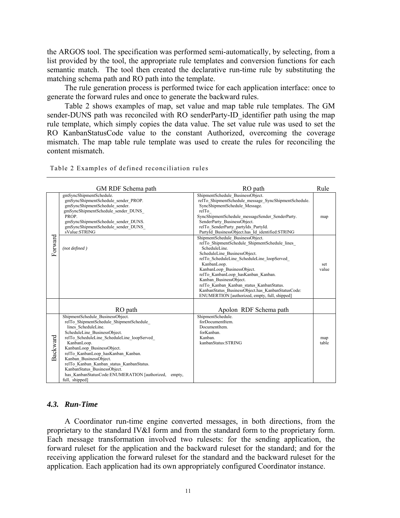the ARGOS tool. The specification was performed semi-automatically, by selecting, from a list provided by the tool, the appropriate rule templates and conversion functions for each semantic match. The tool then created the declarative run-time rule by substituting the matching schema path and RO path into the template.

The rule generation process is performed twice for each application interface: once to generate the forward rules and once to generate the backward rules.

Table 2 shows examples of map, set value and map table rule templates. The GM sender-DUNS path was reconciled with RO senderParty-ID identifier path using the map rule template, which simply copies the data value. The set value rule was used to set the RO KanbanStatusCode value to the constant Authorized, overcoming the coverage mismatch. The map table rule template was used to create the rules for reconciling the content mismatch.

|          | GM RDF Schema path                                                                                                                                                                                                                                                                                                                                                                                                                                  | RO path                                                                                                                                                                                                                                                                                                                                                                                                                                         | Rule         |
|----------|-----------------------------------------------------------------------------------------------------------------------------------------------------------------------------------------------------------------------------------------------------------------------------------------------------------------------------------------------------------------------------------------------------------------------------------------------------|-------------------------------------------------------------------------------------------------------------------------------------------------------------------------------------------------------------------------------------------------------------------------------------------------------------------------------------------------------------------------------------------------------------------------------------------------|--------------|
|          | gmSyncShipmentSchedule.<br>gmSyncShipmentSchedule sender PROP.<br>gmSyncShipmentSchedule sender.<br>gmSyncShipmentSchedule sender DUNS<br>PROP.<br>gmSyncShipmentSchedule sender DUNS.<br>gmSyncShipmentSchedule sender DUNS<br>sValue:STRING                                                                                                                                                                                                       | ShipmentSchedule BusinessObject.<br>relTo ShipmentSchedule message SyncShipmentSchedule.<br>SyncShipmentSchedule Message.<br>relTo<br>SyncShipmentSchedule messageSender SenderParty.<br>SenderParty BusinessObject.<br>relTo SenderParty partyIds PartyId.<br>PartyId BusinessObject.has Id identified:STRING                                                                                                                                  | map          |
| Forward  | (not defined)                                                                                                                                                                                                                                                                                                                                                                                                                                       | ShipmentSchedule BusinessObject.<br>relTo ShipmentSchedule ShipmentSchedule lines<br>ScheduleLine.<br>ScheduleLine BusinessObject.<br>relTo_ScheduleLine_ScheduleLine_loopServed<br>KanbanLoop.<br>KanbanLoop BusinessObject.<br>relTo KanbanLoop hasKanban Kanban.<br>Kanban BusinessObject.<br>relTo Kanban Kanban status KanbanStatus.<br>KanbanStatus BusinessObject.has KanbanStatusCode:<br>ENUMERTION [authorized, empty, full, shipped] | set<br>value |
|          | RO path                                                                                                                                                                                                                                                                                                                                                                                                                                             | Apolon RDF Schema path                                                                                                                                                                                                                                                                                                                                                                                                                          |              |
| Backward | ShipmentSchedule BusinessObject.<br>relTo ShipmentSchedule ShipmentSchedule<br>lines ScheduleLine.<br>ScheduleLine BusinessObject.<br>relTo ScheduleLine ScheduleLine loopServed<br>KanbanLoop.<br>KanbanLoop BusinessObject.<br>relTo KanbanLoop hasKanban Kanban.<br>Kanban BusinessObject.<br>relTo Kanban Kanban status KanbanStatus.<br>KanbanStatus_BusinessObject.<br>has KanbanStatusCode:ENUMERATION [authorized, empty,<br>full, shipped] | ShipmentSchedule.<br>forDocumentItem.<br>DocumentItem.<br>forKanban.<br>Kanban.<br>kanbanStatus:STRING                                                                                                                                                                                                                                                                                                                                          | map<br>table |

Table 2 Examples of defined reconciliation rules

## *4.3. Run-Time*

A Coordinator run-time engine converted messages, in both directions, from the proprietary to the standard IV&I form and from the standard form to the proprietary form. Each message transformation involved two rulesets: for the sending application, the forward ruleset for the application and the backward ruleset for the standard; and for the receiving application the forward ruleset for the standard and the backward ruleset for the application. Each application had its own appropriately configured Coordinator instance.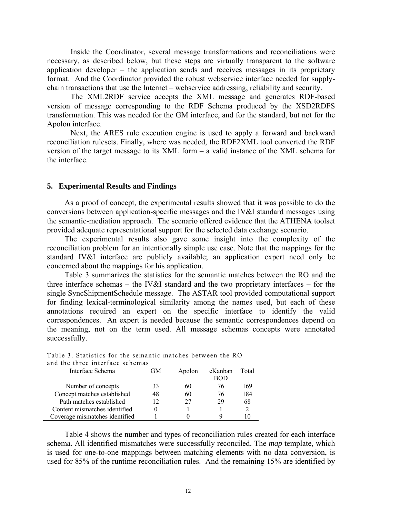Inside the Coordinator, several message transformations and reconciliations were necessary, as described below, but these steps are virtually transparent to the software application developer – the application sends and receives messages in its proprietary format. And the Coordinator provided the robust webservice interface needed for supplychain transactions that use the Internet – webservice addressing, reliability and security.

 The XML2RDF service accepts the XML message and generates RDF-based version of message corresponding to the RDF Schema produced by the XSD2RDFS transformation. This was needed for the GM interface, and for the standard, but not for the Apolon interface.

 Next, the ARES rule execution engine is used to apply a forward and backward reconciliation rulesets. Finally, where was needed, the RDF2XML tool converted the RDF version of the target message to its XML form – a valid instance of the XML schema for the interface.

#### **5. Experimental Results and Findings**

As a proof of concept, the experimental results showed that it was possible to do the conversions between application-specific messages and the IV&I standard messages using the semantic-mediation approach. The scenario offered evidence that the ATHENA toolset provided adequate representational support for the selected data exchange scenario.

The experimental results also gave some insight into the complexity of the reconciliation problem for an intentionally simple use case. Note that the mappings for the standard IV&I interface are publicly available; an application expert need only be concerned about the mappings for his application.

Table 3 summarizes the statistics for the semantic matches between the RO and the three interface schemas – the IV&I standard and the two proprietary interfaces – for the single SyncShipmentSchedule message. The ASTAR tool provided computational support for finding lexical-terminological similarity among the names used, but each of these annotations required an expert on the specific interface to identify the valid correspondences. An expert is needed because the semantic correspondences depend on the meaning, not on the term used. All message schemas concepts were annotated successfully.

| and the three interface schemas |           |        |            |       |
|---------------------------------|-----------|--------|------------|-------|
| Interface Schema                | <b>GM</b> | Apolon | eKanban    | Total |
|                                 |           |        | <b>BOD</b> |       |
| Number of concepts              | 33        | 60     | 76         | 169   |
| Concept matches established     | 48        | 60     | 76         | 184   |
| Path matches established        | 12        | 27     | 29         | 68    |
| Content mismatches identified   |           |        |            |       |
| Coverage mismatches identified  |           |        |            |       |

Table 3. Statistics for the semantic matches between the RO and the three interface schemas

Table 4 shows the number and types of reconciliation rules created for each interface schema. All identified mismatches were successfully reconciled. The *map* template, which is used for one-to-one mappings between matching elements with no data conversion, is used for 85% of the runtime reconciliation rules. And the remaining 15% are identified by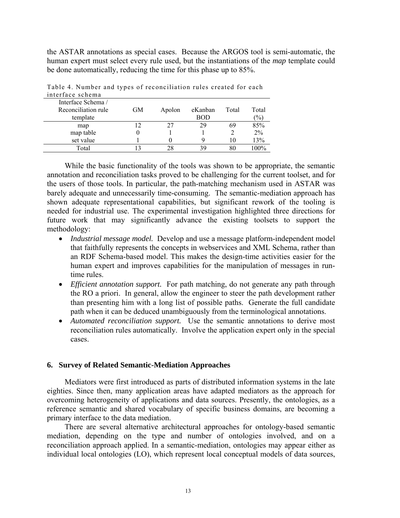the ASTAR annotations as special cases. Because the ARGOS tool is semi-automatic, the human expert must select every rule used, but the instantiations of the *map* template could be done automatically, reducing the time for this phase up to 85%.

| interface schema    |           |        |         |       |       |
|---------------------|-----------|--------|---------|-------|-------|
| Interface Schema /  |           |        |         |       |       |
| Reconciliation rule | <b>GM</b> | Apolon | eKanban | Total | Total |
| template            |           |        | BOD     |       | (%)   |
| map                 |           | 27     | 29      | 69    | 85%   |
| map table           |           |        |         |       | 2%    |
| set value           |           |        | q       | 10    | 13%   |
| Total               |           | 28     | 39      | 80    | 100%  |

Table 4. Number and types of reconciliation rules created for each

While the basic functionality of the tools was shown to be appropriate, the semantic annotation and reconciliation tasks proved to be challenging for the current toolset, and for the users of those tools. In particular, the path-matching mechanism used in ASTAR was barely adequate and unnecessarily time-consuming. The semantic-mediation approach has shown adequate representational capabilities, but significant rework of the tooling is needed for industrial use. The experimental investigation highlighted three directions for future work that may significantly advance the existing toolsets to support the methodology:

- *Industrial message model.* Develop and use a message platform-independent model that faithfully represents the concepts in webservices and XML Schema, rather than an RDF Schema-based model. This makes the design-time activities easier for the human expert and improves capabilities for the manipulation of messages in runtime rules.
- *Efficient annotation support.* For path matching, do not generate any path through the RO a priori. In general, allow the engineer to steer the path development rather than presenting him with a long list of possible paths. Generate the full candidate path when it can be deduced unambiguously from the terminological annotations.
- *Automated reconciliation support.* Use the semantic annotations to derive most reconciliation rules automatically. Involve the application expert only in the special cases.

## **6. Survey of Related Semantic-Mediation Approaches**

Mediators were first introduced as parts of distributed information systems in the late eighties. Since then, many application areas have adapted mediators as the approach for overcoming heterogeneity of applications and data sources. Presently, the ontologies, as a reference semantic and shared vocabulary of specific business domains, are becoming a primary interface to the data mediation.

There are several alternative architectural approaches for ontology-based semantic mediation, depending on the type and number of ontologies involved, and on a reconciliation approach applied. In a semantic-mediation, ontologies may appear either as individual local ontologies (LO), which represent local conceptual models of data sources,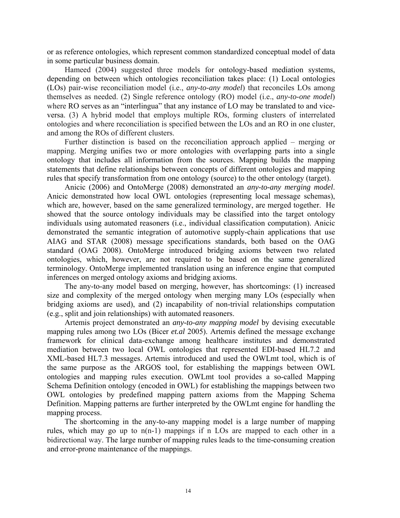or as reference ontologies, which represent common standardized conceptual model of data in some particular business domain.

Hameed (2004) suggested three models for ontology-based mediation systems, depending on between which ontologies reconciliation takes place: (1) Local ontologies (LOs) pair-wise reconciliation model (i.e., *any-to-any model*) that reconciles LOs among themselves as needed. (2) Single reference ontology (RO) model (i.e., *any-to-one model*) where RO serves as an "interlingua" that any instance of LO may be translated to and viceversa. (3) A hybrid model that employs multiple ROs, forming clusters of interrelated ontologies and where reconciliation is specified between the LOs and an RO in one cluster, and among the ROs of different clusters.

Further distinction is based on the reconciliation approach applied – merging or mapping. Merging unifies two or more ontologies with overlapping parts into a single ontology that includes all information from the sources. Mapping builds the mapping statements that define relationships between concepts of different ontologies and mapping rules that specify transformation from one ontology (source) to the other ontology (target).

Anicic (2006) and OntoMerge (2008) demonstrated an *any-to-any merging model*. Anicic demonstrated how local OWL ontologies (representing local message schemas), which are, however, based on the same generalized terminology, are merged together. He showed that the source ontology individuals may be classified into the target ontology individuals using automated reasoners (i.e., individual classification computation). Anicic demonstrated the semantic integration of automotive supply-chain applications that use AIAG and STAR (2008) message specifications standards, both based on the OAG standard (OAG 2008). OntoMerge introduced bridging axioms between two related ontologies, which, however, are not required to be based on the same generalized terminology. OntoMerge implemented translation using an inference engine that computed inferences on merged ontology axioms and bridging axioms.

The any-to-any model based on merging, however, has shortcomings: (1) increased size and complexity of the merged ontology when merging many LOs (especially when bridging axioms are used), and (2) incapability of non-trivial relationships computation (e.g., split and join relationships) with automated reasoners.

Artemis project demonstrated an *any-to-any mapping model* by devising executable mapping rules among two LOs (Bicer *et.al* 2005). Artemis defined the message exchange framework for clinical data-exchange among healthcare institutes and demonstrated mediation between two local OWL ontologies that represented EDI-based HL7.2 and XML-based HL7.3 messages. Artemis introduced and used the OWLmt tool, which is of the same purpose as the ARGOS tool, for establishing the mappings between OWL ontologies and mapping rules execution. OWLmt tool provides a so-called Mapping Schema Definition ontology (encoded in OWL) for establishing the mappings between two OWL ontologies by predefined mapping pattern axioms from the Mapping Schema Definition. Mapping patterns are further interpreted by the OWLmt engine for handling the mapping process.

The shortcoming in the any-to-any mapping model is a large number of mapping rules, which may go up to n(n-1) mappings if n LOs are mapped to each other in a bidirectional way. The large number of mapping rules leads to the time-consuming creation and error-prone maintenance of the mappings.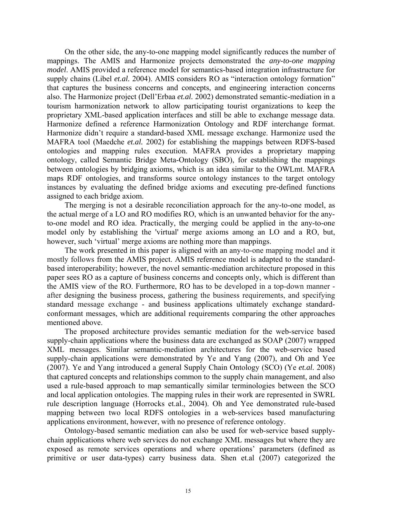On the other side, the any-to-one mapping model significantly reduces the number of mappings. The AMIS and Harmonize projects demonstrated the *any-to-one mapping model*. AMIS provided a reference model for semantics-based integration infrastructure for supply chains (Libel *et.al.* 2004). AMIS considers RO as "interaction ontology formation" that captures the business concerns and concepts, and engineering interaction concerns also. The Harmonize project (Dell'Erbaa *et.al.* 2002) demonstrated semantic-mediation in a tourism harmonization network to allow participating tourist organizations to keep the proprietary XML-based application interfaces and still be able to exchange message data. Harmonize defined a reference Harmonization Ontology and RDF interchange format. Harmonize didn't require a standard-based XML message exchange. Harmonize used the MAFRA tool (Maedche *et.al.* 2002) for establishing the mappings between RDFS-based ontologies and mapping rules execution. MAFRA provides a proprietary mapping ontology, called Semantic Bridge Meta-Ontology (SBO), for establishing the mappings between ontologies by bridging axioms, which is an idea similar to the OWLmt. MAFRA maps RDF ontologies, and transforms source ontology instances to the target ontology instances by evaluating the defined bridge axioms and executing pre-defined functions assigned to each bridge axiom.

The merging is not a desirable reconciliation approach for the any-to-one model, as the actual merge of a LO and RO modifies RO, which is an unwanted behavior for the anyto-one model and RO idea. Practically, the merging could be applied in the any-to-one model only by establishing the 'virtual' merge axioms among an LO and a RO, but, however, such 'virtual' merge axioms are nothing more than mappings.

The work presented in this paper is aligned with an any-to-one mapping model and it mostly follows from the AMIS project. AMIS reference model is adapted to the standardbased interoperability; however, the novel semantic-mediation architecture proposed in this paper sees RO as a capture of business concerns and concepts only, which is different than the AMIS view of the RO. Furthermore, RO has to be developed in a top-down manner after designing the business process, gathering the business requirements, and specifying standard message exchange - and business applications ultimately exchange standardconformant messages, which are additional requirements comparing the other approaches mentioned above.

The proposed architecture provides semantic mediation for the web-service based supply-chain applications where the business data are exchanged as SOAP (2007) wrapped XML messages. Similar semantic-mediation architectures for the web-service based supply-chain applications were demonstrated by Ye and Yang (2007), and Oh and Yee (2007). Ye and Yang introduced a general Supply Chain Ontology (SCO) (Ye *et.al.* 2008) that captured concepts and relationships common to the supply chain management, and also used a rule-based approach to map semantically similar terminologies between the SCO and local application ontologies. The mapping rules in their work are represented in SWRL rule description language (Horrocks et.al., 2004). Oh and Yee demonstrated rule-based mapping between two local RDFS ontologies in a web-services based manufacturing applications environment, however, with no presence of reference ontology.

Ontology-based semantic mediation can also be used for web-service based supplychain applications where web services do not exchange XML messages but where they are exposed as remote services operations and where operations' parameters (defined as primitive or user data-types) carry business data. Shen et.al (2007) categorized the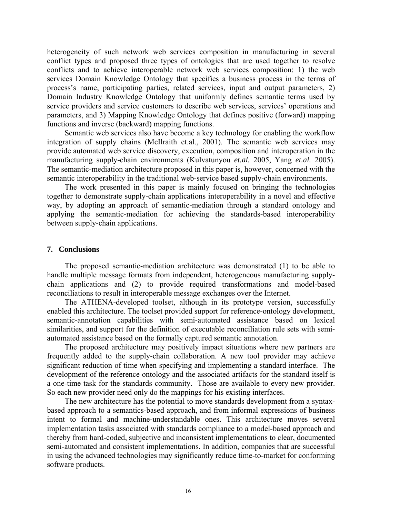heterogeneity of such network web services composition in manufacturing in several conflict types and proposed three types of ontologies that are used together to resolve conflicts and to achieve interoperable network web services composition: 1) the web services Domain Knowledge Ontology that specifies a business process in the terms of process's name, participating parties, related services, input and output parameters, 2) Domain Industry Knowledge Ontology that uniformly defines semantic terms used by service providers and service customers to describe web services, services' operations and parameters, and 3) Mapping Knowledge Ontology that defines positive (forward) mapping functions and inverse (backward) mapping functions.

Semantic web services also have become a key technology for enabling the workflow integration of supply chains (McIlraith et.al., 2001). The semantic web services may provide automated web service discovery, execution, composition and interoperation in the manufacturing supply-chain environments (Kulvatunyou *et.al.* 2005, Yang *et.al.* 2005). The semantic-mediation architecture proposed in this paper is, however, concerned with the semantic interoperability in the traditional web-service based supply-chain environments.

The work presented in this paper is mainly focused on bringing the technologies together to demonstrate supply-chain applications interoperability in a novel and effective way, by adopting an approach of semantic-mediation through a standard ontology and applying the semantic-mediation for achieving the standards-based interoperability between supply-chain applications.

#### **7. Conclusions**

The proposed semantic-mediation architecture was demonstrated (1) to be able to handle multiple message formats from independent, heterogeneous manufacturing supplychain applications and (2) to provide required transformations and model-based reconciliations to result in interoperable message exchanges over the Internet.

The ATHENA-developed toolset, although in its prototype version, successfully enabled this architecture. The toolset provided support for reference-ontology development, semantic-annotation capabilities with semi-automated assistance based on lexical similarities, and support for the definition of executable reconciliation rule sets with semiautomated assistance based on the formally captured semantic annotation.

The proposed architecture may positively impact situations where new partners are frequently added to the supply-chain collaboration. A new tool provider may achieve significant reduction of time when specifying and implementing a standard interface. The development of the reference ontology and the associated artifacts for the standard itself is a one-time task for the standards community. Those are available to every new provider. So each new provider need only do the mappings for his existing interfaces.

The new architecture has the potential to move standards development from a syntaxbased approach to a semantics-based approach, and from informal expressions of business intent to formal and machine-understandable ones. This architecture moves several implementation tasks associated with standards compliance to a model-based approach and thereby from hard-coded, subjective and inconsistent implementations to clear, documented semi-automated and consistent implementations. In addition, companies that are successful in using the advanced technologies may significantly reduce time-to-market for conforming software products.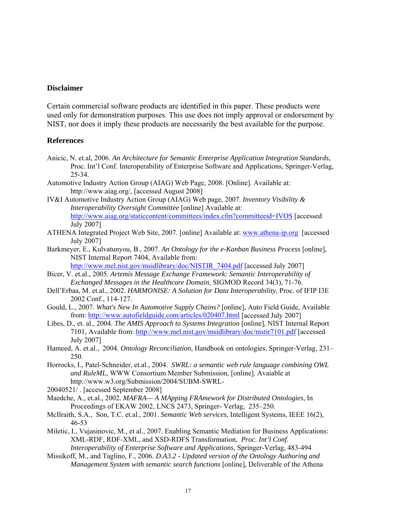## **Disclaimer**

Certain commercial software products are identified in this paper. These products were used only for demonstration purposes. This use does not imply approval or endorsement by NIST, nor does it imply these products are necessarily the best available for the purpose.

## **References**

- Anicic, N. et.al, 2006. *An Architecture for Semantic Enterprise Application Integration Standards*, Proc. Int'l Conf. Interoperability of Enterprise Software and Applications, Springer-Verlag, 25-34.
- Automotive Industry Action Group (AIAG) Web Page, 2008. [Online]. Available at: http://www.aiag.org/, [accessed August 2008]
- IV&I Automotive Industry Action Group (AIAG) Web page, 2007. *Inventory Visibility & Interoperability Oversight Committee* [online] Available at: <http://www.aiag.org/staticcontent/committees/index.cfm?committeeid=IVOS>[accessed July 2007]
- ATHENA Integrated Project Web Site, 2007. [online] Available at: [www.athena-ip.org](http://www.athena-ip.org/) [accessed July 2007]
- Barkmeyer, E., Kulvatunyou, B., 2007. *An Ontology for the e-Kanban Business Process* [online]*,*  NIST Internal Report 7404, Available from:
- [http://www.mel.nist.gov/msidlibrary/doc/NISTIR\\_7404.pdf](http://www.mel.nist.gov/msidlibrary/doc/NISTIR_7404.pdf) [accessed July 2007] Bicer, V. et.al., 2005. *Artemis Message Exchange Framework: Semantic Interoperability of*
- *Exchanged Messages in the Healthcare Domain*, SIGMOD Record 34(3), 71-76.
- Dell'Erbaa, M. et.al., 2002. *HARMONISE: A Solution for Data Interoperability*, Proc. of IFIP I3E 2002 Conf., 114-127.
- Gould, L., 2007. *What's New In Automotive Supply Chains?* [online], Auto Field Guide, Available from:<http://www.autofieldguide.com/articles/020407.html> [accessed July 2007]
- Libes, D., et. al., 2004. *The AMIS Approach to Systems Integration* [online]*,* NIST Internal Report 7101, Available from:<http://www.mel.nist.gov/msidlibrary/doc/nistir7101.pdf> [accessed July 2007]
- Hameed, A. et.al., 2004. *Ontology Reconciliation*, Handbook on ontologies, Springer-Verlag, 231– 250.
- Horrocks, I., Patel-Schneider, et.al., 2004. *SWRL: a semantic web rule language combining OWL and RuleML*, WWW Consortium Member Submission, [online]. Avaiable at http://www.w3.org/Submission/2004/SUBM-SWRL-

20040521/ . [accessed September 2008]

- Maedche, A., et.al., 2002*. MAFRA— A MApping FRAmework for Distributed Ontologies*, In Proceedings of EKAW 2002, LNCS 2473, Springer- Verlag, 235–250.
- McIlraith, S.A., Son, T.C. et.al., 2001. *Semantic Web services*, Intelligent Systems, IEEE 16(2), 46-53
- Miletic, I., Vujasinovic, M., et al., 2007. Enabling Semantic Mediation for Business Applications: XML-RDF, RDF-XML, and XSD-RDFS Transformation, *Proc. Int'l Conf. Interoperability of Enterprise Software and Applications*, Springer-Verlag, 483-494
- Missikoff, M., and Taglino, F., 2006. *D.A3.2 Updated version of the Ontology Authoring and Management System with semantic search functions* [online], Deliverable of the Athena